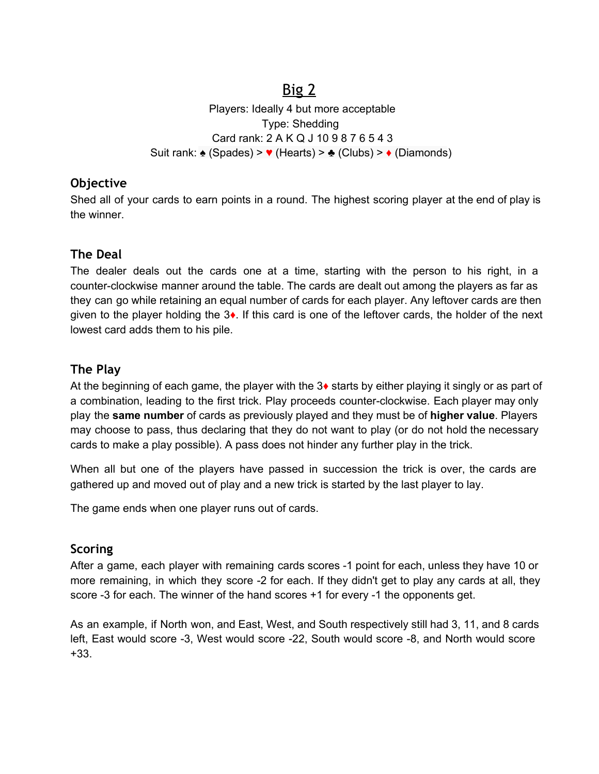# Big 2

Players: Ideally 4 but more acceptable Type: Shedding Card rank: 2 A K Q J 10 9 8 7 6 5 4 3 Suit rank: ♠ (Spades) > ♥ (Hearts) > ♣ (Clubs) > ♦ (Diamonds)

### **Objective**

Shed all of your cards to earn points in a round. The highest scoring player at the end of play is the winner.

## **The Deal**

The dealer deals out the cards one at a time, starting with the person to his right, in a counter-clockwise manner around the table. The cards are dealt out among the players as far as they can go while retaining an equal number of cards for each player. Any leftover cards are then given to the player holding the 3♦. If this card is one of the leftover cards, the holder of the next lowest card adds them to his pile.

### **The Play**

At the beginning of each game, the player with the 3♦ starts by either playing it singly or as part of a combination, leading to the first trick. Play proceeds counter-clockwise. Each player may only play the **same number** of cards as previously played and they must be of **higher value**. Players may choose to pass, thus declaring that they do not want to play (or do not hold the necessary cards to make a play possible). A pass does not hinder any further play in the trick.

When all but one of the players have passed in succession the trick is over, the cards are gathered up and moved out of play and a new trick is started by the last player to lay.

The game ends when one player runs out of cards.

### **Scoring**

After a game, each player with remaining cards scores -1 point for each, unless they have 10 or more remaining, in which they score -2 for each. If they didn't get to play any cards at all, they score -3 for each. The winner of the hand scores +1 for every -1 the opponents get.

As an example, if North won, and East, West, and South respectively still had 3, 11, and 8 cards left, East would score -3, West would score -22, South would score -8, and North would score +33.